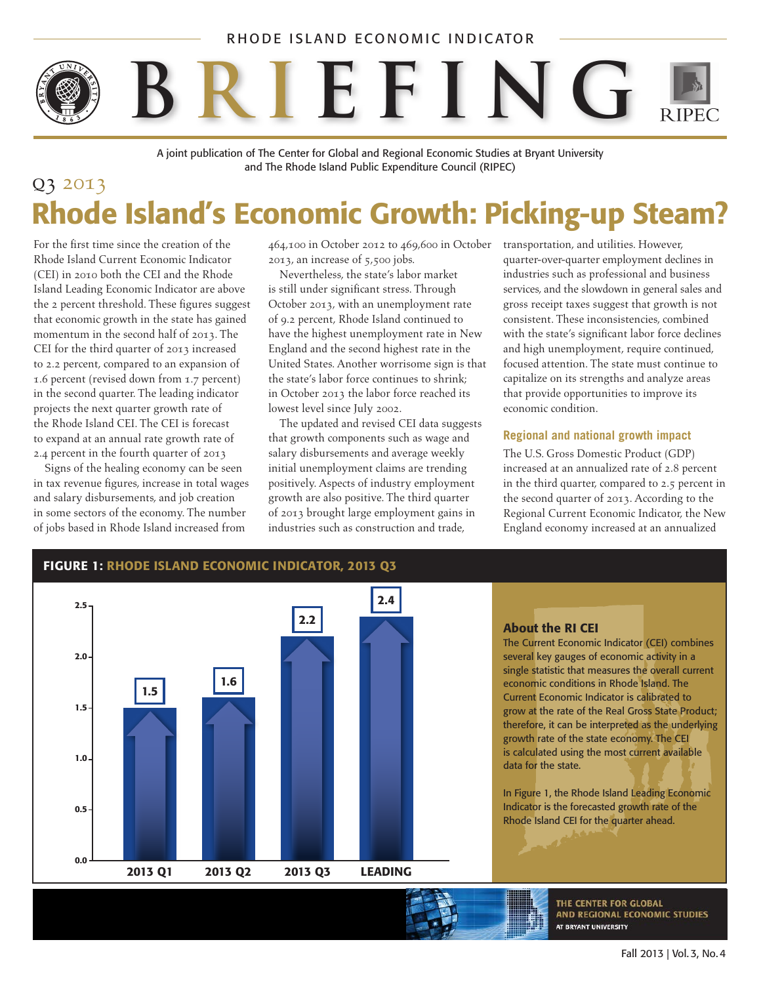### RHODE ISLAND ECONOMIC INDICATOR

# • • **B R I EFING**

A joint publication of The Center for Global and Regional Economic Studies at Bryant University and The Rhode Island Public Expenditure Council (RIPEC)

## q3 2013 Rhode Island's Economic Growth: Picking-up Steam?

For the first time since the creation of the Rhode Island Current Economic Indicator (CEI) in 2010 both the CEI and the Rhode Island Leading Economic Indicator are above the 2 percent threshold. These figures suggest that economic growth in the state has gained momentum in the second half of 2013. The CEI for the third quarter of 2013 increased to 2.2 percent, compared to an expansion of 1.6 percent (revised down from 1.7 percent) in the second quarter. The leading indicator projects the next quarter growth rate of the Rhode Island CEI. The CEI is forecast to expand at an annual rate growth rate of 2.4 percent in the fourth quarter of 2013

Signs of the healing economy can be seen in tax revenue figures, increase in total wages and salary disbursements, and job creation in some sectors of the economy. The number of jobs based in Rhode Island increased from

464,100 in October 2012 to 469,600 in October transportation, and utilities. However, 2013, an increase of 5,500 jobs.

Nevertheless, the state's labor market is still under significant stress. Through October 2013, with an unemployment rate of 9.2 percent, Rhode Island continued to have the highest unemployment rate in New England and the second highest rate in the United States. Another worrisome sign is that the state's labor force continues to shrink; in October 2013 the labor force reached its lowest level since July 2002.

The updated and revised CEI data suggests that growth components such as wage and salary disbursements and average weekly initial unemployment claims are trending positively. Aspects of industry employment growth are also positive. The third quarter of 2013 brought large employment gains in industries such as construction and trade,

quarter-over-quarter employment declines in industries such as professional and business services, and the slowdown in general sales and gross receipt taxes suggest that growth is not consistent. These inconsistencies, combined with the state's significant labor force declines and high unemployment, require continued, focused attention. The state must continue to capitalize on its strengths and analyze areas that provide opportunities to improve its economic condition.

#### **Regional and national growth impact**

The U.S. Gross Domestic Product (GDP) increased at an annualized rate of 2.8 percent in the third quarter, compared to 2.5 percent in the second quarter of 2013. According to the Regional Current Economic Indicator, the New England economy increased at an annualized